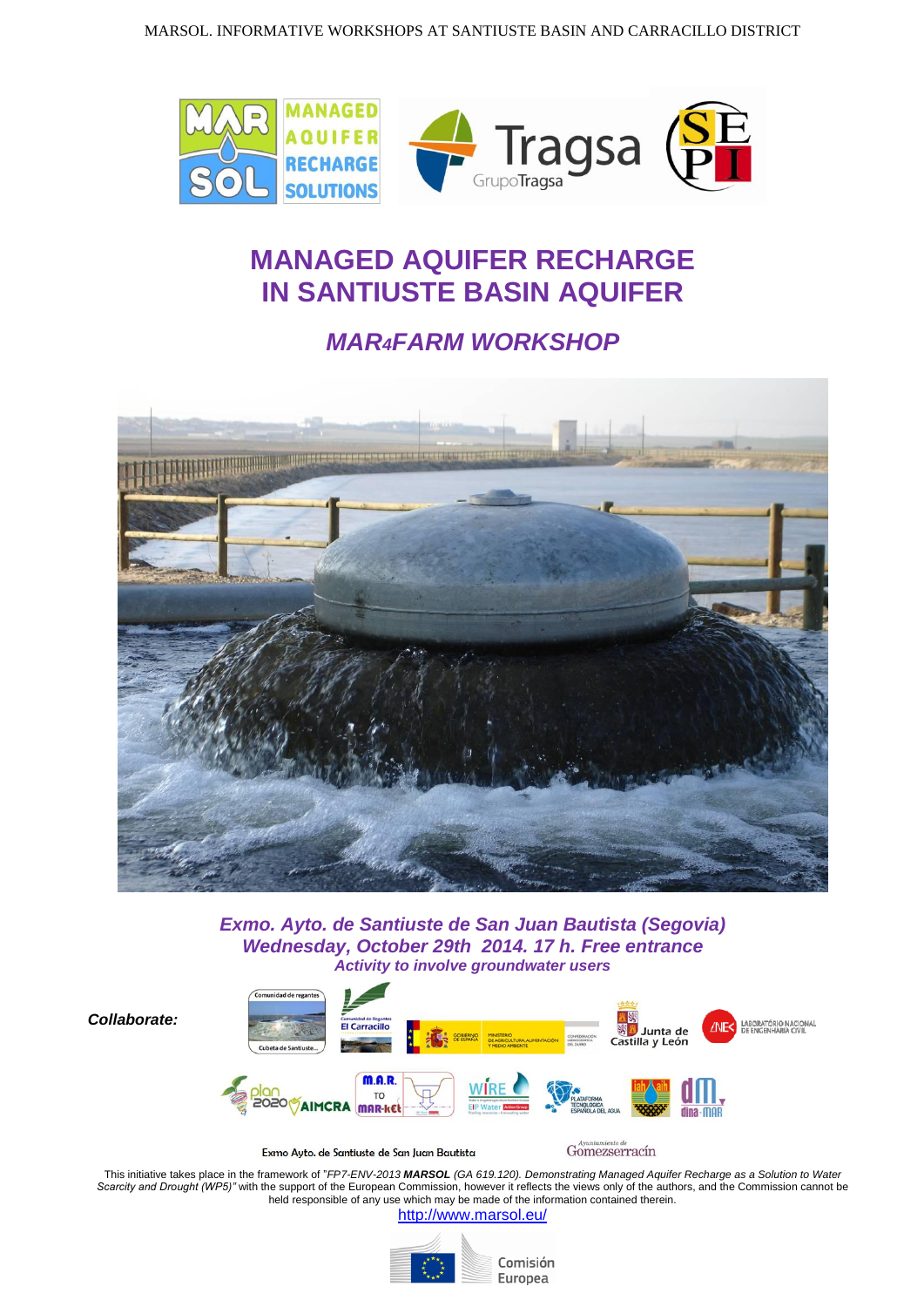

## **MANAGED AQUIFER RECHARGE IN SANTIUSTE BASIN AQUIFER**

## *MAR4FARM WORKSHOP*



*Exmo. Ayto. de Santiuste de San Juan Bautista (Segovia) Wednesday, October 29th 2014. 17 h. Free entrance Activity to involve groundwater users*

*Collaborate:*



Exmo Auto, de Santiuste de San Juan Bautista

Gomezserracín

This initiative takes place in the framework of "*FP7-ENV-2013 MARSOL (GA 619.120). Demonstrating Managed Aquifer Recharge as a Solution to Water*  Scarcity and Drought (WP5)" with the support of the European Commission, however it reflects the views only of the authors, and the Commission cannot be held responsible of any use which may be made of the information contained therein.

<http://www.marsol.eu/>



Comisión Europea